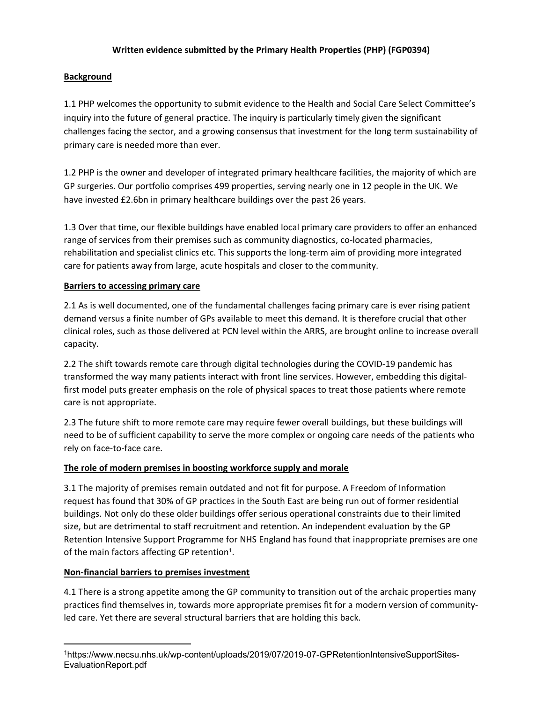#### **Written evidence submitted by the Primary Health Properties (PHP) (FGP0394)**

## **Background**

1.1 PHP welcomes the opportunity to submit evidence to the Health and Social Care Select Committee's inquiry into the future of general practice. The inquiry is particularly timely given the significant challenges facing the sector, and a growing consensus that investment for the long term sustainability of primary care is needed more than ever.

1.2 PHP is the owner and developer of integrated primary healthcare facilities, the majority of which are GP surgeries. Our portfolio comprises 499 properties, serving nearly one in 12 people in the UK. We have invested £2.6bn in primary healthcare buildings over the past 26 years.

1.3 Over that time, our flexible buildings have enabled local primary care providers to offer an enhanced range of services from their premises such as community diagnostics, co-located pharmacies, rehabilitation and specialist clinics etc. This supports the long-term aim of providing more integrated care for patients away from large, acute hospitals and closer to the community.

#### **Barriers to accessing primary care**

2.1 As is well documented, one of the fundamental challenges facing primary care is ever rising patient demand versus a finite number of GPs available to meet this demand. It is therefore crucial that other clinical roles, such as those delivered at PCN level within the ARRS, are brought online to increase overall capacity.

2.2 The shift towards remote care through digital technologies during the COVID-19 pandemic has transformed the way many patients interact with front line services. However, embedding this digitalfirst model puts greater emphasis on the role of physical spaces to treat those patients where remote care is not appropriate.

2.3 The future shift to more remote care may require fewer overall buildings, but these buildings will need to be of sufficient capability to serve the more complex or ongoing care needs of the patients who rely on face-to-face care.

## **The role of modern premises in boosting workforce supply and morale**

3.1 The majority of premises remain outdated and not fit for purpose. A Freedom of Information request has found that 30% of GP practices in the South East are being run out of former residential buildings. Not only do these older buildings offer serious operational constraints due to their limited size, but are detrimental to staff recruitment and retention. An independent evaluation by the GP Retention Intensive Support Programme for NHS England has found that inappropriate premises are one of the main factors affecting GP retention<sup>1</sup>.

#### **Non-financial barriers to premises investment**

4.1 There is a strong appetite among the GP community to transition out of the archaic properties many practices find themselves in, towards more appropriate premises fit for a modern version of communityled care. Yet there are several structural barriers that are holding this back.

<sup>1</sup>https://www.necsu.nhs.uk/wp-content/uploads/2019/07/2019-07-GPRetentionIntensiveSupportSites-EvaluationReport.pdf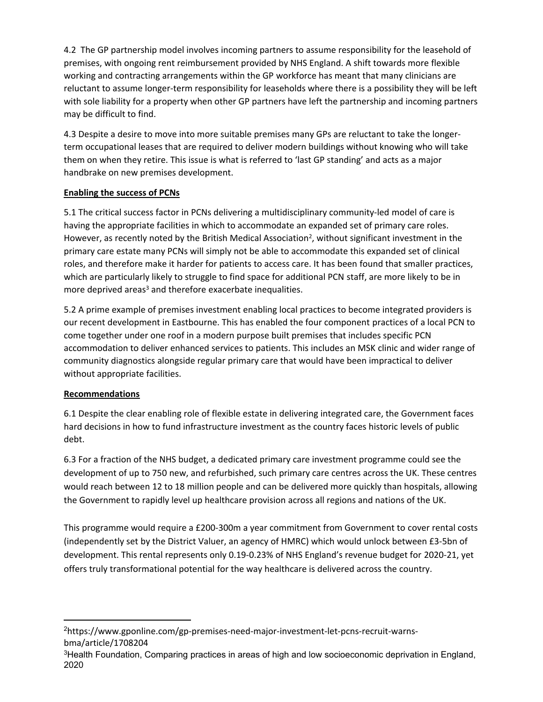4.2 The GP partnership model involves incoming partners to assume responsibility for the leasehold of premises, with ongoing rent reimbursement provided by NHS England. A shift towards more flexible working and contracting arrangements within the GP workforce has meant that many clinicians are reluctant to assume longer-term responsibility for leaseholds where there is a possibility they will be left with sole liability for a property when other GP partners have left the partnership and incoming partners may be difficult to find.

4.3 Despite a desire to move into more suitable premises many GPs are reluctant to take the longerterm occupational leases that are required to deliver modern buildings without knowing who will take them on when they retire. This issue is what is referred to 'last GP standing' and acts as a major handbrake on new premises development.

# **Enabling the success of PCNs**

5.1 The critical success factor in PCNs delivering a multidisciplinary community-led model of care is having the appropriate facilities in which to accommodate an expanded set of primary care roles. However, as recently noted by the British Medical Association<sup>2</sup>, without significant investment in the primary care estate many PCNs will simply not be able to accommodate this expanded set of clinical roles, and therefore make it harder for patients to access care. It has been found that smaller practices, which are particularly likely to struggle to find space for additional PCN staff, are more likely to be in more deprived areas<sup>3</sup> and therefore exacerbate inequalities.

5.2 A prime example of premises investment enabling local practices to become integrated providers is our recent development in Eastbourne. This has enabled the four component practices of a local PCN to come together under one roof in a modern purpose built premises that includes specific PCN accommodation to deliver enhanced services to patients. This includes an MSK clinic and wider range of community diagnostics alongside regular primary care that would have been impractical to deliver without appropriate facilities.

## **Recommendations**

6.1 Despite the clear enabling role of flexible estate in delivering integrated care, the Government faces hard decisions in how to fund infrastructure investment as the country faces historic levels of public debt.

6.3 For a fraction of the NHS budget, a dedicated primary care investment programme could see the development of up to 750 new, and refurbished, such primary care centres across the UK. These centres would reach between 12 to 18 million people and can be delivered more quickly than hospitals, allowing the Government to rapidly level up healthcare provision across all regions and nations of the UK.

This programme would require a £200-300m a year commitment from Government to cover rental costs (independently set by the District Valuer, an agency of HMRC) which would unlock between £3-5bn of development. This rental represents only 0.19-0.23% of NHS England's revenue budget for 2020-21, yet offers truly transformational potential for the way healthcare is delivered across the country.

<sup>2</sup>https://www.gponline.com/gp-premises-need-major-investment-let-pcns-recruit-warnsbma/article/1708204

<sup>&</sup>lt;sup>3</sup>Health Foundation, Comparing practices in areas of high and low socioeconomic deprivation in England, 2020